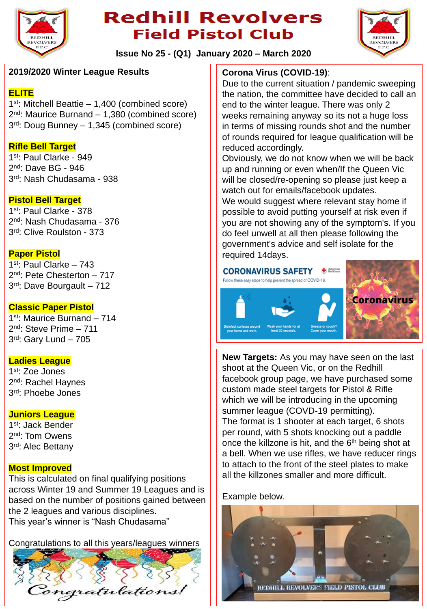

# **Redhill Revolvers Field Pistol Club**



**Issue No 25 - (Q1) January 2020 – March 2020**

#### **2019/2020 Winter League Results**

#### **ELITE**

1 st: Mitchell Beattie – 1,400 (combined score) 2 nd: Maurice Burnand – 1,380 (combined score) 3 rd: Doug Bunney – 1,345 (combined score)

### **Rifle Bell Target**

1 st: Paul Clarke - 949 2<sup>nd</sup>: Dave BG - 946 3 rd: Nash Chudasama - 938

### **Pistol Bell Target**

1 st: Paul Clarke - 378 2 nd: Nash Chudasama - 376 3 rd: Clive Roulston - 373

#### **Paper Pistol**

1 st: Paul Clarke – 743 2 nd: Pete Chesterton – 717 3 rd: Dave Bourgault – 712

#### **Classic Paper Pistol**

1 st: Maurice Burnand – 714 2 nd: Steve Prime – 711 3 rd: Gary Lund – 705

#### **Ladies League**

1 st: Zoe Jones 2<sup>nd</sup>: Rachel Haynes 3 rd: Phoebe Jones

#### **Juniors League**

1<sup>st</sup>: Jack Bender 2<sup>nd</sup>: Tom Owens 3<sup>rd</sup>: Alec Bettany

#### **Most Improved**

This is calculated on final qualifying positions across Winter 19 and Summer 19 Leagues and is based on the number of positions gained between the 2 leagues and various disciplines. This year's winner is "Nash Chudasama"

Congratulations to all this years/leagues winners



## **Corona Virus (COVID-19)**:

Due to the current situation / pandemic sweeping the nation, the committee have decided to call an end to the winter league. There was only 2 weeks remaining anyway so its not a huge loss in terms of missing rounds shot and the number of rounds required for league qualification will be reduced accordingly.

Obviously, we do not know when we will be back up and running or even when/If the Queen Vic will be closed/re-opening so please just keep a watch out for emails/facebook updates.

We would suggest where relevant stay home if possible to avoid putting yourself at risk even if you are not showing any of the symptom's. If you do feel unwell at all then please following the government's advice and self isolate for the required 14days.



**New Targets:** As you may have seen on the last shoot at the Queen Vic, or on the Redhill facebook group page, we have purchased some custom made steel targets for Pistol & Rifle which we will be introducing in the upcoming summer league (COVD-19 permitting). The format is 1 shooter at each target, 6 shots per round, with 5 shots knocking out a paddle once the killzone is hit, and the  $6<sup>th</sup>$  being shot at a bell. When we use rifles, we have reducer rings to attach to the front of the steel plates to make all the killzones smaller and more difficult.

Example below.